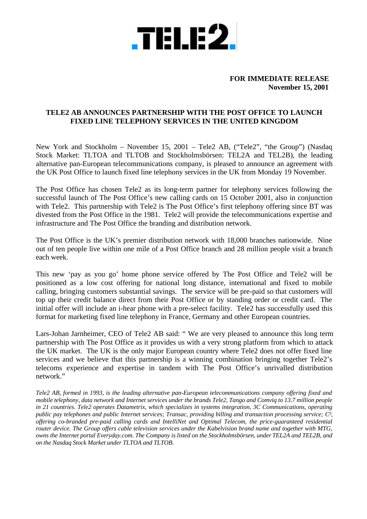

## **FOR IMMEDIATE RELEASE November 15, 2001**

## **TELE2 AB ANNOUNCES PARTNERSHIP WITH THE POST OFFICE TO LAUNCH FIXED LINE TELEPHONY SERVICES IN THE UNITED KINGDOM**

New York and Stockholm – November 15, 2001 – Tele2 AB, ("Tele2", "the Group") (Nasdaq Stock Market: TLTOA and TLTOB and Stockholmsbörsen: TEL2A and TEL2B), the leading alternative pan-European telecommunications company, is pleased to announce an agreement with the UK Post Office to launch fixed line telephony services in the UK from Monday 19 November.

The Post Office has chosen Tele2 as its long-term partner for telephony services following the successful launch of The Post Office's new calling cards on 15 October 2001, also in conjunction with Tele2. This partnership with Tele2 is The Post Office's first telephony offering since BT was divested from the Post Office in the 1981. Tele2 will provide the telecommunications expertise and infrastructure and The Post Office the branding and distribution network.

The Post Office is the UK's premier distribution network with 18,000 branches nationwide. Nine out of ten people live within one mile of a Post Office branch and 28 million people visit a branch each week.

This new 'pay as you go' home phone service offered by The Post Office and Tele2 will be positioned as a low cost offering for national long distance, international and fixed to mobile calling, bringing customers substantial savings. The service will be pre-paid so that customers will top up their credit balance direct from their Post Office or by standing order or credit card. The initial offer will include an i-hear phone with a pre-select facility. Tele2 has successfully used this format for marketing fixed line telephony in France, Germany and other European countries.

Lars-Johan Jarnheimer, CEO of Tele2 AB said: " We are very pleased to announce this long term partnership with The Post Office as it provides us with a very strong platform from which to attack the UK market. The UK is the only major European country where Tele2 does not offer fixed line services and we believe that this partnership is a winning combination bringing together Tele2's telecoms experience and expertise in tandem with The Post Office's unrivalled distribution network."

*Tele2 AB, formed in 1993, is the leading alternative pan-European telecommunications company offering fixed and mobile telephony, data network and Internet services under the brands Tele2, Tango and Comviq to 13.7 million people in 21 countries. Tele2 operates Datametrix, which specializes in systems integration, 3C Communications, operating public pay telephones and public Internet services; Transac, providing billing and transaction processing service; C³, offering co-branded pre-paid calling cards and IntelliNet and Optimal Telecom, the price-guaranteed residential router device. The Group offers cable television services under the Kabelvision brand name and together with MTG, owns the Internet portal Everyday.com. The Company is listed on the Stockholmsbörsen, under TEL2A and TEL2B, and on the Nasdaq Stock Market under TLTOA and TLTOB.*